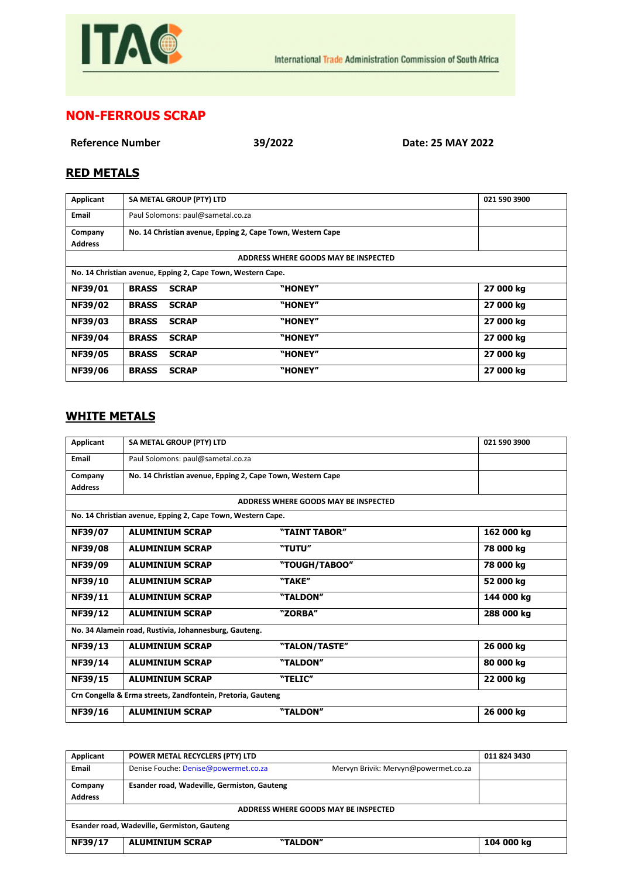

## **NON-FERROUS SCRAP**

**Reference Number 39/2022 Date: 25 MAY 2022**

## **RED METALS**

| Applicant                                                   | SA METAL GROUP (PTY) LTD                                   |         | 021 590 3900 |  |
|-------------------------------------------------------------|------------------------------------------------------------|---------|--------------|--|
| <b>Email</b>                                                | Paul Solomons: paul@sametal.co.za                          |         |              |  |
| Company                                                     | No. 14 Christian avenue, Epping 2, Cape Town, Western Cape |         |              |  |
| <b>Address</b>                                              |                                                            |         |              |  |
| ADDRESS WHERE GOODS MAY BE INSPECTED                        |                                                            |         |              |  |
| No. 14 Christian avenue, Epping 2, Cape Town, Western Cape. |                                                            |         |              |  |
| NF39/01                                                     | <b>BRASS</b><br><b>SCRAP</b>                               | "HONEY" | 27 000 kg    |  |
| NF39/02                                                     | <b>BRASS</b><br><b>SCRAP</b>                               | "HONEY" | 27 000 kg    |  |
| NF39/03                                                     | <b>BRASS</b><br><b>SCRAP</b>                               | "HONEY" | 27 000 kg    |  |
| NF39/04                                                     | <b>BRASS</b><br><b>SCRAP</b>                               | "HONEY" | 27 000 kg    |  |
| NF39/05                                                     | <b>SCRAP</b><br><b>BRASS</b>                               | "HONEY" | 27 000 kg    |  |
| <b>NF39/06</b>                                              | <b>BRASS</b><br><b>SCRAP</b>                               | "HONEY" | 27 000 kg    |  |

## **WHITE METALS**

| Applicant                                                   | SA METAL GROUP (PTY) LTD                                    |                                      | 021 590 3900 |
|-------------------------------------------------------------|-------------------------------------------------------------|--------------------------------------|--------------|
| Email                                                       | Paul Solomons: paul@sametal.co.za                           |                                      |              |
| Company                                                     | No. 14 Christian avenue, Epping 2, Cape Town, Western Cape  |                                      |              |
| <b>Address</b>                                              |                                                             |                                      |              |
|                                                             |                                                             | ADDRESS WHERE GOODS MAY BE INSPECTED |              |
|                                                             | No. 14 Christian avenue, Epping 2, Cape Town, Western Cape. |                                      |              |
| NF39/07                                                     | <b>ALUMINIUM SCRAP</b>                                      | "TAINT TABOR"                        | 162 000 kg   |
| <b>NF39/08</b>                                              | <b>ALUMINIUM SCRAP</b>                                      | "TUTU"                               | 78 000 kg    |
| NF39/09                                                     | <b>ALUMINIUM SCRAP</b>                                      | "TOUGH/TABOO"                        | 78 000 kg    |
| NF39/10                                                     | <b>ALUMINIUM SCRAP</b>                                      | "TAKE"                               | 52 000 kg    |
| NF39/11                                                     | <b>ALUMINIUM SCRAP</b>                                      | "TALDON"                             | 144 000 kg   |
| NF39/12                                                     | <b>ALUMINIUM SCRAP</b>                                      | "ZORBA"                              | 288 000 kg   |
| No. 34 Alamein road, Rustivia, Johannesburg, Gauteng.       |                                                             |                                      |              |
| NF39/13                                                     | <b>ALUMINIUM SCRAP</b>                                      | "TALON/TASTE"                        | 26 000 kg    |
| NF39/14                                                     | <b>ALUMINIUM SCRAP</b>                                      | "TALDON"                             | 80 000 kg    |
| NF39/15                                                     | <b>ALUMINIUM SCRAP</b>                                      | "TELIC"                              | 22 000 kg    |
| Crn Congella & Erma streets, Zandfontein, Pretoria, Gauteng |                                                             |                                      |              |
| NF39/16                                                     | <b>ALUMINIUM SCRAP</b>                                      | "TALDON"                             | 26 000 kg    |

| Applicant                                   | POWER METAL RECYCLERS (PTY) LTD             |                                      | 011 824 3430 |  |
|---------------------------------------------|---------------------------------------------|--------------------------------------|--------------|--|
| Email                                       | Denise Fouche: Denise@powermet.co.za        | Mervyn Brivik: Mervyn@powermet.co.za |              |  |
| Company                                     | Esander road, Wadeville, Germiston, Gauteng |                                      |              |  |
| <b>Address</b>                              |                                             |                                      |              |  |
| ADDRESS WHERE GOODS MAY BE INSPECTED        |                                             |                                      |              |  |
| Esander road, Wadeville, Germiston, Gauteng |                                             |                                      |              |  |
| NF39/17                                     | <b>ALUMINIUM SCRAP</b><br>"TALDON"          |                                      | 104 000 kg   |  |